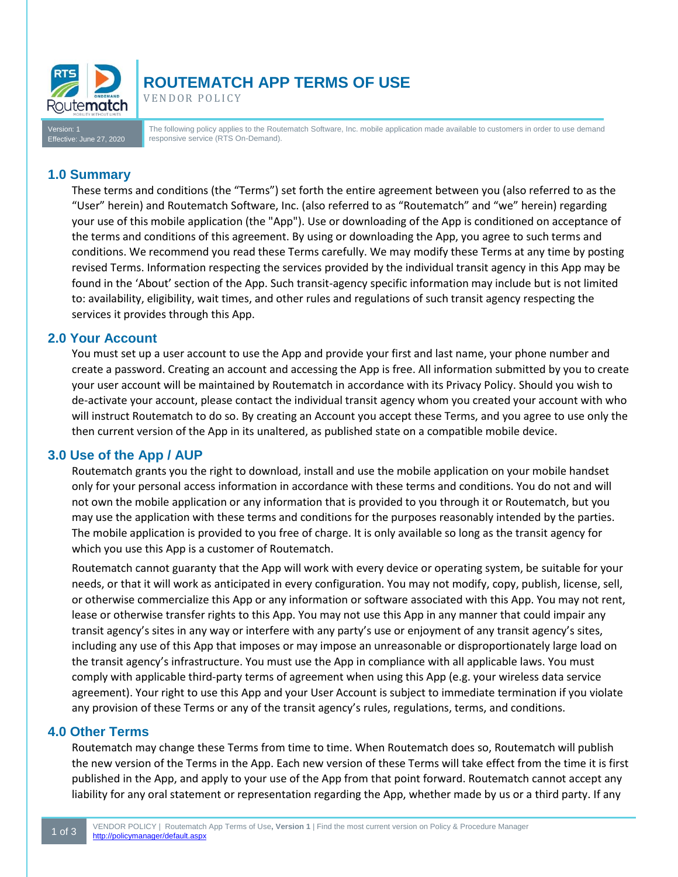

# **ROUTEMATCH APP TERMS OF USE**

VENDOR POLICY

Version: 1 : June 27, 2020 The following policy applies to the Routematch Software, Inc. mobile application made available to customers in order to use demand responsive service (RTS On-Demand).

## **1.0 Summary**

These terms and conditions (the "Terms") set forth the entire agreement between you (also referred to as the "User" herein) and Routematch Software, Inc. (also referred to as "Routematch" and "we" herein) regarding your use of this mobile application (the "App"). Use or downloading of the App is conditioned on acceptance of the terms and conditions of this agreement. By using or downloading the App, you agree to such terms and conditions. We recommend you read these Terms carefully. We may modify these Terms at any time by posting revised Terms. Information respecting the services provided by the individual transit agency in this App may be found in the 'About' section of the App. Such transit-agency specific information may include but is not limited to: availability, eligibility, wait times, and other rules and regulations of such transit agency respecting the services it provides through this App.

## **2.0 Your Account**

You must set up a user account to use the App and provide your first and last name, your phone number and create a password. Creating an account and accessing the App is free. All information submitted by you to create your user account will be maintained by Routematch in accordance with its Privacy Policy. Should you wish to de-activate your account, please contact the individual transit agency whom you created your account with who will instruct Routematch to do so. By creating an Account you accept these Terms, and you agree to use only the then current version of the App in its unaltered, as published state on a compatible mobile device.

# **3.0 Use of the App / AUP**

Routematch grants you the right to download, install and use the mobile application on your mobile handset only for your personal access information in accordance with these terms and conditions. You do not and will not own the mobile application or any information that is provided to you through it or Routematch, but you may use the application with these terms and conditions for the purposes reasonably intended by the parties. The mobile application is provided to you free of charge. It is only available so long as the transit agency for which you use this App is a customer of Routematch.

Routematch cannot guaranty that the App will work with every device or operating system, be suitable for your needs, or that it will work as anticipated in every configuration. You may not modify, copy, publish, license, sell, or otherwise commercialize this App or any information or software associated with this App. You may not rent, lease or otherwise transfer rights to this App. You may not use this App in any manner that could impair any transit agency's sites in any way or interfere with any party's use or enjoyment of any transit agency's sites, including any use of this App that imposes or may impose an unreasonable or disproportionately large load on the transit agency's infrastructure. You must use the App in compliance with all applicable laws. You must comply with applicable third-party terms of agreement when using this App (e.g. your wireless data service agreement). Your right to use this App and your User Account is subject to immediate termination if you violate any provision of these Terms or any of the transit agency's rules, regulations, terms, and conditions.

#### **4.0 Other Terms**

Routematch may change these Terms from time to time. When Routematch does so, Routematch will publish the new version of the Terms in the App. Each new version of these Terms will take effect from the time it is first published in the App, and apply to your use of the App from that point forward. Routematch cannot accept any liability for any oral statement or representation regarding the App, whether made by us or a third party. If any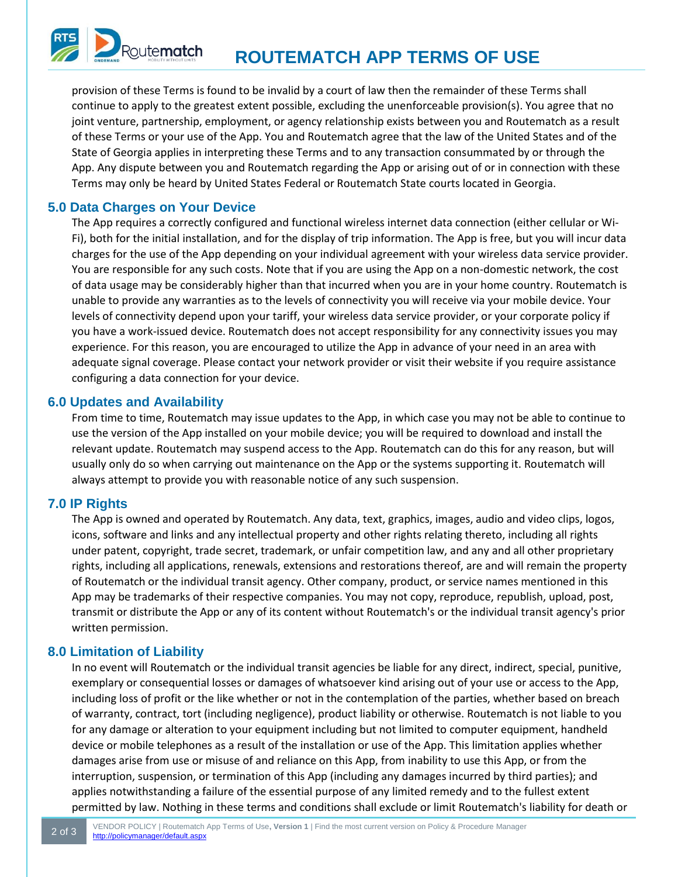

provision of these Terms is found to be invalid by a court of law then the remainder of these Terms shall continue to apply to the greatest extent possible, excluding the unenforceable provision(s). You agree that no joint venture, partnership, employment, or agency relationship exists between you and Routematch as a result of these Terms or your use of the App. You and Routematch agree that the law of the United States and of the State of Georgia applies in interpreting these Terms and to any transaction consummated by or through the App. Any dispute between you and Routematch regarding the App or arising out of or in connection with these Terms may only be heard by United States Federal or Routematch State courts located in Georgia.

## **5.0 Data Charges on Your Device**

The App requires a correctly configured and functional wireless internet data connection (either cellular or Wi-Fi), both for the initial installation, and for the display of trip information. The App is free, but you will incur data charges for the use of the App depending on your individual agreement with your wireless data service provider. You are responsible for any such costs. Note that if you are using the App on a non-domestic network, the cost of data usage may be considerably higher than that incurred when you are in your home country. Routematch is unable to provide any warranties as to the levels of connectivity you will receive via your mobile device. Your levels of connectivity depend upon your tariff, your wireless data service provider, or your corporate policy if you have a work-issued device. Routematch does not accept responsibility for any connectivity issues you may experience. For this reason, you are encouraged to utilize the App in advance of your need in an area with adequate signal coverage. Please contact your network provider or visit their website if you require assistance configuring a data connection for your device.

#### **6.0 Updates and Availability**

From time to time, Routematch may issue updates to the App, in which case you may not be able to continue to use the version of the App installed on your mobile device; you will be required to download and install the relevant update. Routematch may suspend access to the App. Routematch can do this for any reason, but will usually only do so when carrying out maintenance on the App or the systems supporting it. Routematch will always attempt to provide you with reasonable notice of any such suspension.

#### **7.0 IP Rights**

The App is owned and operated by Routematch. Any data, text, graphics, images, audio and video clips, logos, icons, software and links and any intellectual property and other rights relating thereto, including all rights under patent, copyright, trade secret, trademark, or unfair competition law, and any and all other proprietary rights, including all applications, renewals, extensions and restorations thereof, are and will remain the property of Routematch or the individual transit agency. Other company, product, or service names mentioned in this App may be trademarks of their respective companies. You may not copy, reproduce, republish, upload, post, transmit or distribute the App or any of its content without Routematch's or the individual transit agency's prior written permission.

# **8.0 Limitation of Liability**

In no event will Routematch or the individual transit agencies be liable for any direct, indirect, special, punitive, exemplary or consequential losses or damages of whatsoever kind arising out of your use or access to the App, including loss of profit or the like whether or not in the contemplation of the parties, whether based on breach of warranty, contract, tort (including negligence), product liability or otherwise. Routematch is not liable to you for any damage or alteration to your equipment including but not limited to computer equipment, handheld device or mobile telephones as a result of the installation or use of the App. This limitation applies whether damages arise from use or misuse of and reliance on this App, from inability to use this App, or from the interruption, suspension, or termination of this App (including any damages incurred by third parties); and applies notwithstanding a failure of the essential purpose of any limited remedy and to the fullest extent permitted by law. Nothing in these terms and conditions shall exclude or limit Routematch's liability for death or